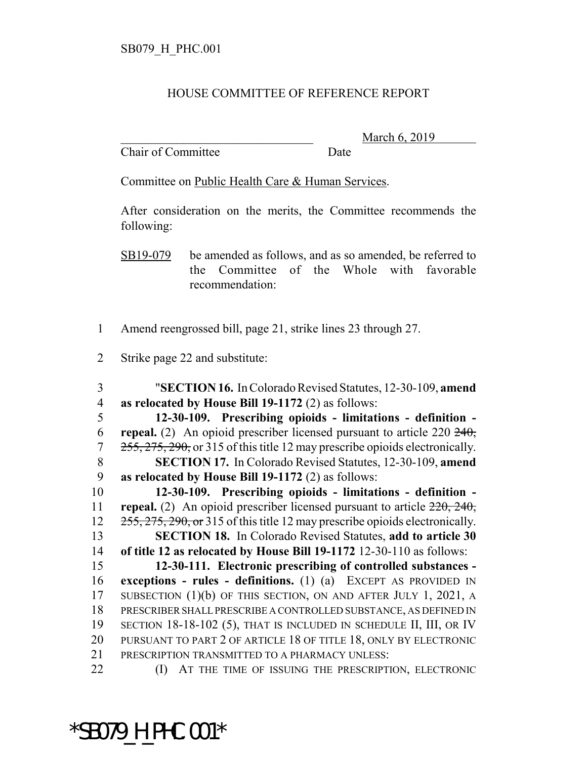## HOUSE COMMITTEE OF REFERENCE REPORT

Chair of Committee Date

March 6, 2019

Committee on Public Health Care & Human Services.

After consideration on the merits, the Committee recommends the following:

SB19-079 be amended as follows, and as so amended, be referred to the Committee of the Whole with favorable recommendation:

- Amend reengrossed bill, page 21, strike lines 23 through 27.
- Strike page 22 and substitute:

 "**SECTION 16.** In Colorado Revised Statutes, 12-30-109, **amend as relocated by House Bill 19-1172** (2) as follows: **12-30-109. Prescribing opioids - limitations - definition -**

 **repeal.** (2) An opioid prescriber licensed pursuant to article 220 240, 255, 275, 290, or 315 of this title 12 may prescribe opioids electronically. **SECTION 17.** In Colorado Revised Statutes, 12-30-109, **amend as relocated by House Bill 19-1172** (2) as follows:

 **12-30-109. Prescribing opioids - limitations - definition - repeal.** (2) An opioid prescriber licensed pursuant to article 220, 240, 12 255, 275, 290, or 315 of this title 12 may prescribe opioids electronically. **SECTION 18.** In Colorado Revised Statutes, **add to article 30 of title 12 as relocated by House Bill 19-1172** 12-30-110 as follows:

 **12-30-111. Electronic prescribing of controlled substances - exceptions - rules - definitions.** (1) (a) EXCEPT AS PROVIDED IN SUBSECTION (1)(b) OF THIS SECTION, ON AND AFTER JULY 1, 2021, A PRESCRIBER SHALL PRESCRIBE A CONTROLLED SUBSTANCE, AS DEFINED IN SECTION 18-18-102 (5), THAT IS INCLUDED IN SCHEDULE II, III, OR IV PURSUANT TO PART 2 OF ARTICLE 18 OF TITLE 18, ONLY BY ELECTRONIC PRESCRIPTION TRANSMITTED TO A PHARMACY UNLESS:

**(I)** AT THE TIME OF ISSUING THE PRESCRIPTION, ELECTRONIC

\*SB079\_H\_PHC.001\*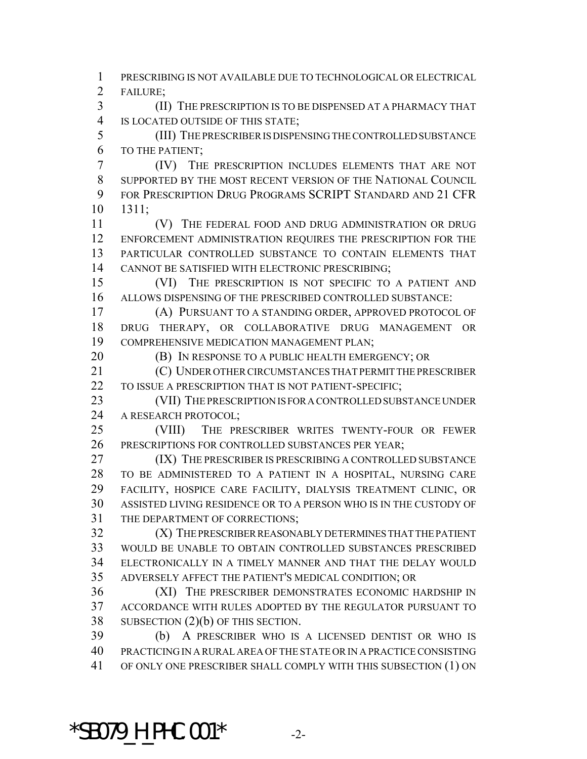PRESCRIBING IS NOT AVAILABLE DUE TO TECHNOLOGICAL OR ELECTRICAL FAILURE; (II) THE PRESCRIPTION IS TO BE DISPENSED AT A PHARMACY THAT IS LOCATED OUTSIDE OF THIS STATE; (III) THE PRESCRIBER IS DISPENSING THE CONTROLLED SUBSTANCE TO THE PATIENT; (IV) THE PRESCRIPTION INCLUDES ELEMENTS THAT ARE NOT SUPPORTED BY THE MOST RECENT VERSION OF THE NATIONAL COUNCIL FOR PRESCRIPTION DRUG PROGRAMS SCRIPT STANDARD AND 21 CFR 1311; (V) THE FEDERAL FOOD AND DRUG ADMINISTRATION OR DRUG ENFORCEMENT ADMINISTRATION REQUIRES THE PRESCRIPTION FOR THE PARTICULAR CONTROLLED SUBSTANCE TO CONTAIN ELEMENTS THAT CANNOT BE SATISFIED WITH ELECTRONIC PRESCRIBING; (VI) THE PRESCRIPTION IS NOT SPECIFIC TO A PATIENT AND ALLOWS DISPENSING OF THE PRESCRIBED CONTROLLED SUBSTANCE: (A) PURSUANT TO A STANDING ORDER, APPROVED PROTOCOL OF DRUG THERAPY, OR COLLABORATIVE DRUG MANAGEMENT OR COMPREHENSIVE MEDICATION MANAGEMENT PLAN; **(B)** IN RESPONSE TO A PUBLIC HEALTH EMERGENCY; OR (C) UNDER OTHER CIRCUMSTANCES THAT PERMIT THE PRESCRIBER 22 TO ISSUE A PRESCRIPTION THAT IS NOT PATIENT-SPECIFIC; (VII) THE PRESCRIPTION IS FOR A CONTROLLED SUBSTANCE UNDER 24 A RESEARCH PROTOCOL; (VIII) THE PRESCRIBER WRITES TWENTY-FOUR OR FEWER PRESCRIPTIONS FOR CONTROLLED SUBSTANCES PER YEAR; 27 (IX) THE PRESCRIBER IS PRESCRIBING A CONTROLLED SUBSTANCE TO BE ADMINISTERED TO A PATIENT IN A HOSPITAL, NURSING CARE FACILITY, HOSPICE CARE FACILITY, DIALYSIS TREATMENT CLINIC, OR ASSISTED LIVING RESIDENCE OR TO A PERSON WHO IS IN THE CUSTODY OF THE DEPARTMENT OF CORRECTIONS; (X) THE PRESCRIBER REASONABLY DETERMINES THAT THE PATIENT WOULD BE UNABLE TO OBTAIN CONTROLLED SUBSTANCES PRESCRIBED ELECTRONICALLY IN A TIMELY MANNER AND THAT THE DELAY WOULD ADVERSELY AFFECT THE PATIENT'S MEDICAL CONDITION; OR (XI) THE PRESCRIBER DEMONSTRATES ECONOMIC HARDSHIP IN ACCORDANCE WITH RULES ADOPTED BY THE REGULATOR PURSUANT TO SUBSECTION (2)(b) OF THIS SECTION. (b) A PRESCRIBER WHO IS A LICENSED DENTIST OR WHO IS PRACTICING IN A RURAL AREA OF THE STATE OR IN A PRACTICE CONSISTING OF ONLY ONE PRESCRIBER SHALL COMPLY WITH THIS SUBSECTION (1) ON

 $*$ SB079 H PHC.001 $*$  -2-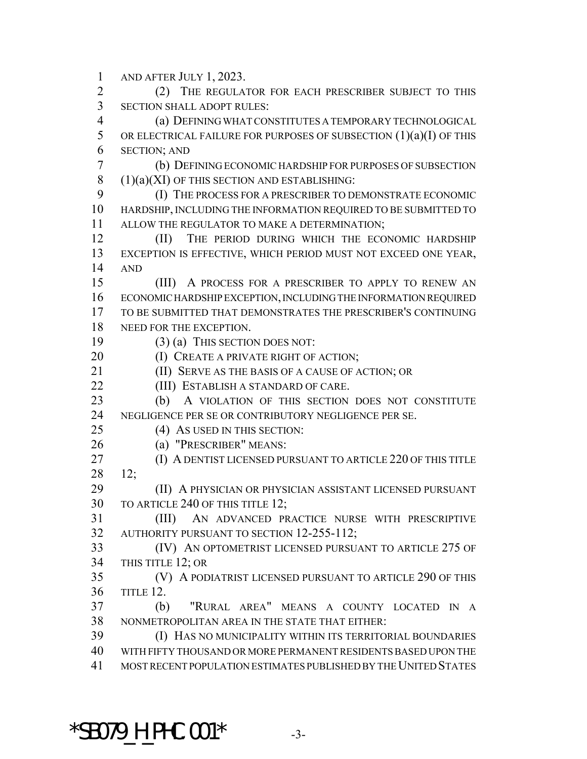AND AFTER JULY 1, 2023. (2) THE REGULATOR FOR EACH PRESCRIBER SUBJECT TO THIS SECTION SHALL ADOPT RULES: (a) DEFINING WHAT CONSTITUTES A TEMPORARY TECHNOLOGICAL 5 OR ELECTRICAL FAILURE FOR PURPOSES OF SUBSECTION  $(1)(a)(I)$  OF THIS SECTION; AND (b) DEFINING ECONOMIC HARDSHIP FOR PURPOSES OF SUBSECTION 8 (1)(a)(XI) OF THIS SECTION AND ESTABLISHING: (I) THE PROCESS FOR A PRESCRIBER TO DEMONSTRATE ECONOMIC HARDSHIP, INCLUDING THE INFORMATION REQUIRED TO BE SUBMITTED TO ALLOW THE REGULATOR TO MAKE A DETERMINATION; (II) THE PERIOD DURING WHICH THE ECONOMIC HARDSHIP EXCEPTION IS EFFECTIVE, WHICH PERIOD MUST NOT EXCEED ONE YEAR, AND (III) A PROCESS FOR A PRESCRIBER TO APPLY TO RENEW AN ECONOMIC HARDSHIP EXCEPTION, INCLUDING THE INFORMATION REQUIRED TO BE SUBMITTED THAT DEMONSTRATES THE PRESCRIBER'S CONTINUING 18 NEED FOR THE EXCEPTION. (3) (a) THIS SECTION DOES NOT: **(I) CREATE A PRIVATE RIGHT OF ACTION; (II) SERVE AS THE BASIS OF A CAUSE OF ACTION; OR (III) ESTABLISH A STANDARD OF CARE.**  (b) A VIOLATION OF THIS SECTION DOES NOT CONSTITUTE NEGLIGENCE PER SE OR CONTRIBUTORY NEGLIGENCE PER SE. (4) AS USED IN THIS SECTION: (a) "PRESCRIBER" MEANS: (I) A DENTIST LICENSED PURSUANT TO ARTICLE 220 OF THIS TITLE 12; (II) A PHYSICIAN OR PHYSICIAN ASSISTANT LICENSED PURSUANT TO ARTICLE 240 OF THIS TITLE 12; (III) AN ADVANCED PRACTICE NURSE WITH PRESCRIPTIVE AUTHORITY PURSUANT TO SECTION 12-255-112; (IV) AN OPTOMETRIST LICENSED PURSUANT TO ARTICLE 275 OF THIS TITLE 12; OR (V) A PODIATRIST LICENSED PURSUANT TO ARTICLE 290 OF THIS TITLE 12. (b) "RURAL AREA" MEANS A COUNTY LOCATED IN A NONMETROPOLITAN AREA IN THE STATE THAT EITHER: (I) HAS NO MUNICIPALITY WITHIN ITS TERRITORIAL BOUNDARIES WITH FIFTY THOUSAND OR MORE PERMANENT RESIDENTS BASED UPON THE MOST RECENT POPULATION ESTIMATES PUBLISHED BY THE UNITED STATES

 $*$ SB079 H PHC.001 $*$  -3-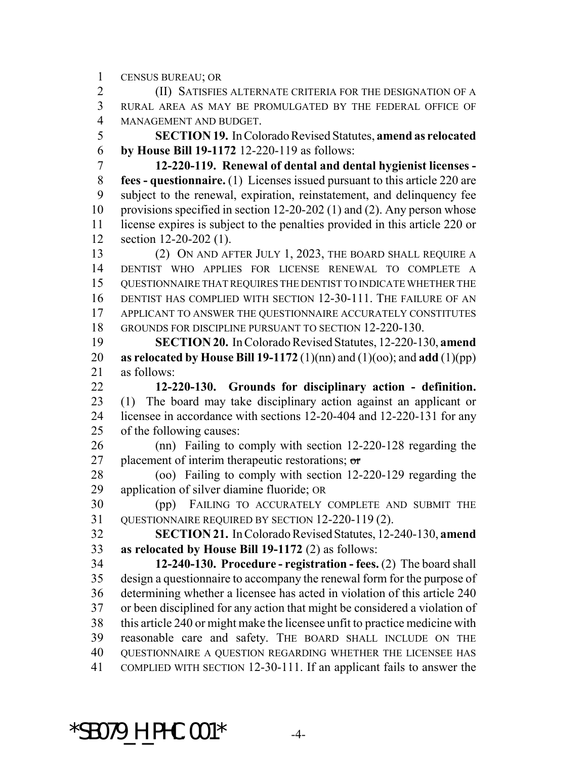CENSUS BUREAU; OR

 (II) SATISFIES ALTERNATE CRITERIA FOR THE DESIGNATION OF A RURAL AREA AS MAY BE PROMULGATED BY THE FEDERAL OFFICE OF MANAGEMENT AND BUDGET.

 **SECTION 19.** In Colorado Revised Statutes, **amend as relocated by House Bill 19-1172** 12-220-119 as follows:

 **12-220-119. Renewal of dental and dental hygienist licenses - fees - questionnaire.** (1) Licenses issued pursuant to this article 220 are subject to the renewal, expiration, reinstatement, and delinquency fee provisions specified in section 12-20-202 (1) and (2). Any person whose license expires is subject to the penalties provided in this article 220 or section 12-20-202 (1).

 (2) ON AND AFTER JULY 1, 2023, THE BOARD SHALL REQUIRE A DENTIST WHO APPLIES FOR LICENSE RENEWAL TO COMPLETE A QUESTIONNAIRE THAT REQUIRES THE DENTIST TO INDICATE WHETHER THE DENTIST HAS COMPLIED WITH SECTION 12-30-111. THE FAILURE OF AN APPLICANT TO ANSWER THE QUESTIONNAIRE ACCURATELY CONSTITUTES GROUNDS FOR DISCIPLINE PURSUANT TO SECTION 12-220-130.

 **SECTION 20.** In Colorado Revised Statutes, 12-220-130, **amend as relocated by House Bill 19-1172** (1)(nn) and (1)(oo); and **add** (1)(pp) 21 as follows:

 **12-220-130. Grounds for disciplinary action - definition.** (1) The board may take disciplinary action against an applicant or licensee in accordance with sections 12-20-404 and 12-220-131 for any of the following causes:

 (nn) Failing to comply with section 12-220-128 regarding the 27 placement of interim therapeutic restorations;  $\sigma$ 

 (oo) Failing to comply with section 12-220-129 regarding the application of silver diamine fluoride; OR

 (pp) FAILING TO ACCURATELY COMPLETE AND SUBMIT THE QUESTIONNAIRE REQUIRED BY SECTION 12-220-119 (2).

 **SECTION 21.** In Colorado Revised Statutes, 12-240-130, **amend as relocated by House Bill 19-1172** (2) as follows:

 **12-240-130. Procedure - registration - fees.** (2) The board shall design a questionnaire to accompany the renewal form for the purpose of determining whether a licensee has acted in violation of this article 240 or been disciplined for any action that might be considered a violation of this article 240 or might make the licensee unfit to practice medicine with reasonable care and safety. THE BOARD SHALL INCLUDE ON THE QUESTIONNAIRE A QUESTION REGARDING WHETHER THE LICENSEE HAS COMPLIED WITH SECTION 12-30-111. If an applicant fails to answer the

 $*$ SB079 H PHC.001 $*$  -4-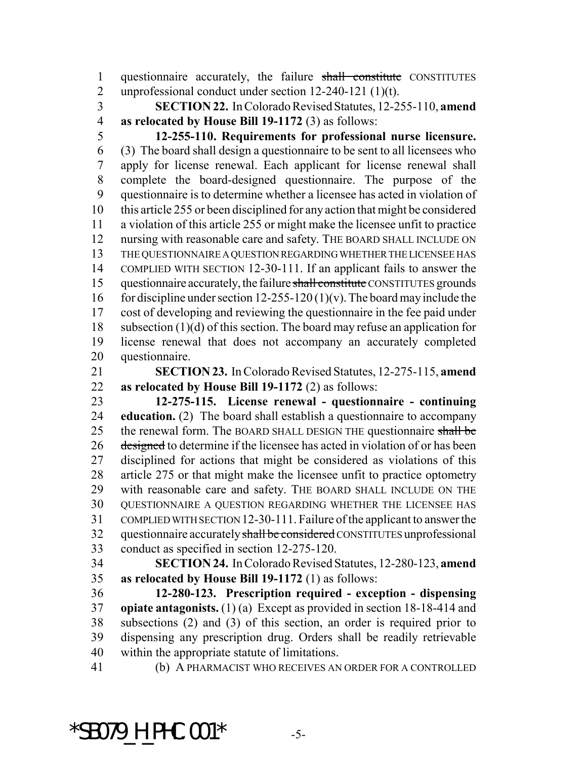questionnaire accurately, the failure shall constitute CONSTITUTES unprofessional conduct under section 12-240-121 (1)(t).

 **SECTION 22.** In Colorado Revised Statutes, 12-255-110, **amend as relocated by House Bill 19-1172** (3) as follows:

 **12-255-110. Requirements for professional nurse licensure.** (3) The board shall design a questionnaire to be sent to all licensees who apply for license renewal. Each applicant for license renewal shall complete the board-designed questionnaire. The purpose of the questionnaire is to determine whether a licensee has acted in violation of this article 255 or been disciplined for any action that might be considered a violation of this article 255 or might make the licensee unfit to practice nursing with reasonable care and safety. THE BOARD SHALL INCLUDE ON THE QUESTIONNAIRE A QUESTION REGARDING WHETHER THE LICENSEE HAS COMPLIED WITH SECTION 12-30-111. If an applicant fails to answer the 15 questionnaire accurately, the failure shall constitute CONSTITUTES grounds 16 for discipline under section 12-255-120 (1)(v). The board may include the cost of developing and reviewing the questionnaire in the fee paid under subsection (1)(d) of this section. The board may refuse an application for license renewal that does not accompany an accurately completed questionnaire.

 **SECTION 23.** In Colorado Revised Statutes, 12-275-115, **amend as relocated by House Bill 19-1172** (2) as follows:

 **12-275-115. License renewal - questionnaire - continuing education.** (2) The board shall establish a questionnaire to accompany 25 the renewal form. The BOARD SHALL DESIGN THE questionnaire shall be 26 designed to determine if the licensee has acted in violation of or has been disciplined for actions that might be considered as violations of this article 275 or that might make the licensee unfit to practice optometry with reasonable care and safety. THE BOARD SHALL INCLUDE ON THE QUESTIONNAIRE A QUESTION REGARDING WHETHER THE LICENSEE HAS COMPLIED WITH SECTION 12-30-111. Failure of the applicant to answer the 32 questionnaire accurately shall be considered CONSTITUTES unprofessional conduct as specified in section 12-275-120.

 **SECTION 24.** In Colorado Revised Statutes, 12-280-123, **amend as relocated by House Bill 19-1172** (1) as follows:

 **12-280-123. Prescription required - exception - dispensing opiate antagonists.** (1) (a) Except as provided in section 18-18-414 and subsections (2) and (3) of this section, an order is required prior to dispensing any prescription drug. Orders shall be readily retrievable within the appropriate statute of limitations.

(b) A PHARMACIST WHO RECEIVES AN ORDER FOR A CONTROLLED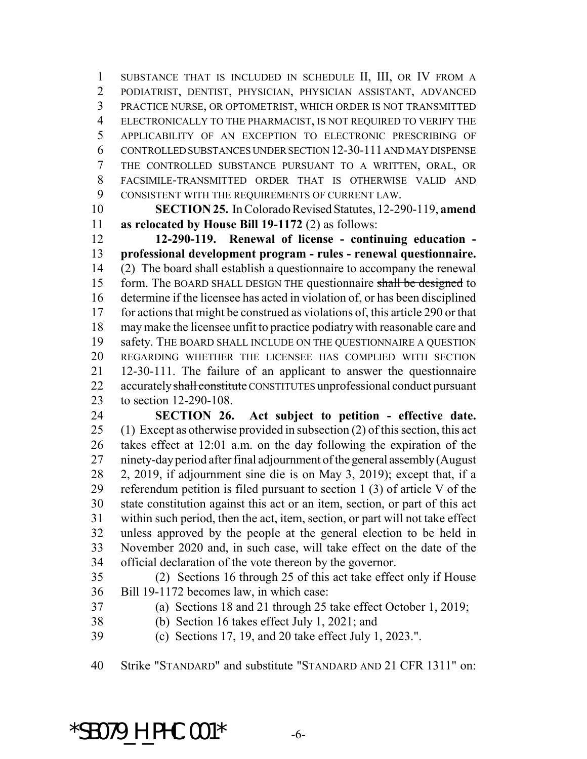SUBSTANCE THAT IS INCLUDED IN SCHEDULE II, III, OR IV FROM A PODIATRIST, DENTIST, PHYSICIAN, PHYSICIAN ASSISTANT, ADVANCED PRACTICE NURSE, OR OPTOMETRIST, WHICH ORDER IS NOT TRANSMITTED ELECTRONICALLY TO THE PHARMACIST, IS NOT REQUIRED TO VERIFY THE APPLICABILITY OF AN EXCEPTION TO ELECTRONIC PRESCRIBING OF CONTROLLED SUBSTANCES UNDER SECTION 12-30-111 AND MAY DISPENSE THE CONTROLLED SUBSTANCE PURSUANT TO A WRITTEN, ORAL, OR FACSIMILE-TRANSMITTED ORDER THAT IS OTHERWISE VALID AND CONSISTENT WITH THE REQUIREMENTS OF CURRENT LAW.

 **SECTION 25.** In Colorado Revised Statutes, 12-290-119, **amend as relocated by House Bill 19-1172** (2) as follows:

 **12-290-119. Renewal of license - continuing education - professional development program - rules - renewal questionnaire.** (2) The board shall establish a questionnaire to accompany the renewal 15 form. The BOARD SHALL DESIGN THE questionnaire shall be designed to determine if the licensee has acted in violation of, or has been disciplined for actions that might be construed as violations of, this article 290 or that may make the licensee unfit to practice podiatry with reasonable care and safety. THE BOARD SHALL INCLUDE ON THE QUESTIONNAIRE A QUESTION REGARDING WHETHER THE LICENSEE HAS COMPLIED WITH SECTION 12-30-111. The failure of an applicant to answer the questionnaire 22 accurately shall constitute CONSTITUTES unprofessional conduct pursuant to section 12-290-108.

 **SECTION 26. Act subject to petition - effective date.** (1) Except as otherwise provided in subsection (2) of this section, this act takes effect at 12:01 a.m. on the day following the expiration of the ninety-day period after final adjournment of the general assembly (August 2, 2019, if adjournment sine die is on May 3, 2019); except that, if a referendum petition is filed pursuant to section 1 (3) of article V of the state constitution against this act or an item, section, or part of this act within such period, then the act, item, section, or part will not take effect unless approved by the people at the general election to be held in November 2020 and, in such case, will take effect on the date of the official declaration of the vote thereon by the governor.

 (2) Sections 16 through 25 of this act take effect only if House Bill 19-1172 becomes law, in which case:

(a) Sections 18 and 21 through 25 take effect October 1, 2019;

(b) Section 16 takes effect July 1, 2021; and

(c) Sections 17, 19, and 20 take effect July 1, 2023.".

Strike "STANDARD" and substitute "STANDARD AND 21 CFR 1311" on:

 $*$ SB079 H PHC.001 $*$  -6-